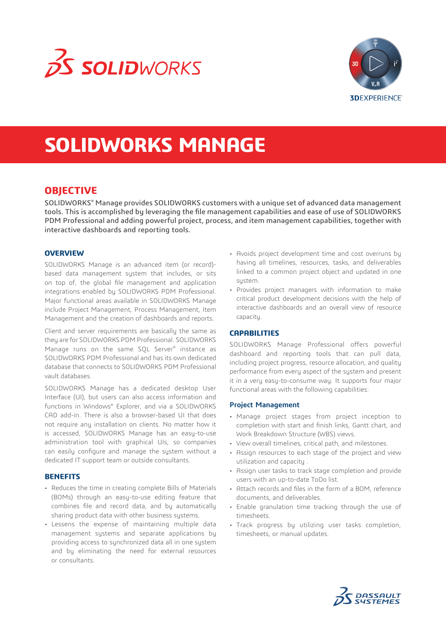



# **SOLIDWORKS MANAGE**

## **OBJECTIVE**

SOLIDWORKS® Manage provides SOLIDWORKS customers with a unique set of advanced data management tools. This is accomplished by leveraging the file management capabilities and ease of use of SOLIDWORKS PDM Professional and adding powerful project, process, and item management capabilities, together with interactive dashboards and reporting tools.

### **OVERVIEW**

SOLIDWORKS Manage is an advanced item (or record) based data management system that includes, or sits on top of, the global file management and application integrations enabled by SOLIDWORKS PDM Professional. Major functional areas available in SOLIDWORKS Manage include Project Management, Process Management, Item Management and the creation of dashboards and reports.

Client and server requirements are basically the same as they are for SOLIDWORKS PDM Professional. SOLIDWORKS Manage runs on the same SQL Server® instance as SOLIDWORKS PDM Professional and has its own dedicated database that connects to SOLIDWORKS PDM Professional vault databases.

SOLIDWORKS Manage has a dedicated desktop User Interface (UI), but users can also access information and functions in Windows® Explorer, and via a SOLIDWORKS CAD add-in. There is also a browser-based UI that does not require any installation on clients. No matter how it is accessed, SOLIDWORKS Manage has an easy-to-use administration tool with graphical UIs, so companies can easily configure and manage the system without a dedicated IT support team or outside consultants.

### **BENEFITS**

- Reduces the time in creating complete Bills of Materials (BOMs) through an easy-to-use editing feature that combines file and record data, and by automatically sharing product data with other business systems.
- Lessens the expense of maintaining multiple data management systems and separate applications by providing access to synchronized data all in one system and by eliminating the need for external resources or consultants.
- Avoids project development time and cost overruns by having all timelines, resources, tasks, and deliverables linked to a common project object and updated in one sustem.
- Provides project managers with information to make critical product development decisions with the help of interactive dashboards and an overall view of resource capacity.

### **CAPABILITIES**

SOLIDWORKS Manage Professional offers powerful dashboard and reporting tools that can pull data, including project progress, resource allocation, and quality performance from every aspect of the system and present it in a very easy-to-consume way. It supports four major functional areas with the following capabilities:

### **Project Management**

- Manage project stages from project inception to completion with start and finish links, Gantt chart, and Work Breakdown Structure (WBS) views.
- View overall timelines, critical path, and milestones.
- Assign resources to each stage of the project and view utilization and capacity .
- Assign user tasks to track stage completion and provide users with an up-to-date ToDo list.
- Attach records and files in the form of a BOM, reference documents, and deliverables.
- Enable granulation time tracking through the use of timesheets.
- Track progress by utilizing user tasks completion, timesheets, or manual updates.